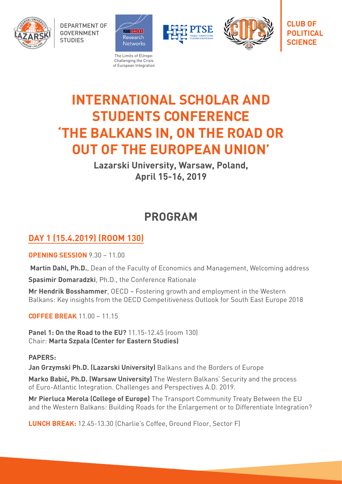

DEPARTMENT OF GOVERNMENT **STUDIES** 



Challenging the Crisis of European Integration





**CLUB OF POLITICAL SCIENCE**

# **INTERNATIONAL SCHOLAR AND STUDENTS CONFERENCE 'THE BALKANS IN, ON THE ROAD OR OUT OF THE EUROPEAN UNION'**

**Lazarski University, Warsaw, Poland, April 15-16, 2019**

## **PROGRAM**

### **DAY 1 (15.4.2019) (ROOM 130)**

**OPENING SESSION** 9.30 – 11.00

**Martin Dahl, Ph.D.**, Dean of the Faculty of Economics and Management, Welcoming address

**Spasimir Domaradzki**, Ph.D., the Conference Rationale

**Mr Hendrik Bosshammer**, OECD – Fostering growth and employment in the Western Balkans: Key insights from the OECD Competitiveness Outlook for South East Europe 2018

**COFFEE BREAK** 11.00 – 11.15

**Panel 1: On the Road to the EU?** 11.15-12.45 (room 130) Chair: **Marta Szpala (Center for Eastern Studies)**

### **PAPERS:**

**Jan Grzymski Ph.D. (Lazarski University)** Balkans and the Borders of Europe

**Marko Babić, Ph.D. (Warsaw University)** The Western Balkans' Security and the process of Euro-Atlantic Integration. Challenges and Perspectives A.D. 2019.

**Mr Pierluca Merola (College of Europe)** The Transport Community Treaty Between the EU and the Western Balkans: Building Roads for the Enlargement or to Differentiate Integration?

**LUNCH BREAK:** 12.45-13.30 (Charlie's Coffee, Ground Floor, Sector F)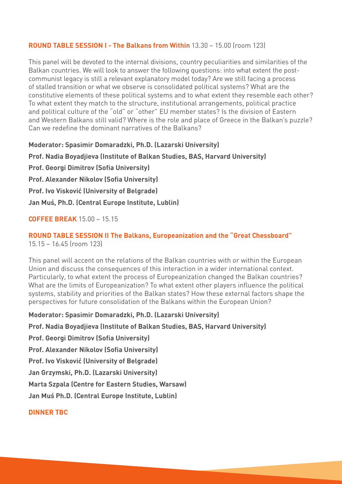### **ROUND TABLE SESSION I - The Balkans from Within** 13.30 – 15.00 (room 123)

This panel will be devoted to the internal divisions, country peculiarities and similarities of the Balkan countries. We will look to answer the following questions: into what extent the postcommunist legacy is still a relevant explanatory model today? Are we still facing a process of stalled transition or what we observe is consolidated political systems? What are the constitutive elements of these political systems and to what extent they resemble each other? To what extent they match to the structure, institutional arrangements, political practice and political culture of the "old" or "other" EU member states? Is the division of Eastern and Western Balkans still valid? Where is the role and place of Greece in the Balkan's puzzle? Can we redefine the dominant narratives of the Balkans?

**Moderator: Spasimir Domaradzki, Ph.D. (Lazarski University)**

**Prof. Nadia Boyadjieva (Institute of Balkan Studies, BAS, Harvard University)** 

**Prof. Georgi Dimitrov (Sofia University)**

**Prof. Alexander Nikolov (Sofia University)**

**Prof. Ivo Visković (University of Belgrade)**

**Jan Muś, Ph.D. (Central Europe Institute, Lublin)**

### **COFFEE BREAK** 15.00 – 15.15

#### **ROUND TABLE SESSION II The Balkans, Europeanization and the "Great Chessboard"**  15.15 – 16.45 (room 123)

This panel will accent on the relations of the Balkan countries with or within the European Union and discuss the consequences of this interaction in a wider international context. Particularly, to what extent the process of Europeanization changed the Balkan countries? What are the limits of Europeanization? To what extent other players influence the political systems, stability and priorities of the Balkan states? How these external factors shape the perspectives for future consolidation of the Balkans within the European Union?

**Moderator: Spasimir Domaradzki, Ph.D. (Lazarski University)**

**Prof. Nadia Boyadjieva (Institute of Balkan Studies, BAS, Harvard University)** 

**Prof. Georgi Dimitrov (Sofia University)**

**Prof. Alexander Nikolov (Sofia University)**

**Prof. Ivo Visković (University of Belgrade)**

**Jan Grzymski, Ph.D. (Lazarski University)**

**Marta Szpala (Centre for Eastern Studies, Warsaw)**

**Jan Muś Ph.D. (Central Europe Institute, Lublin)**

### **DINNER TBC**